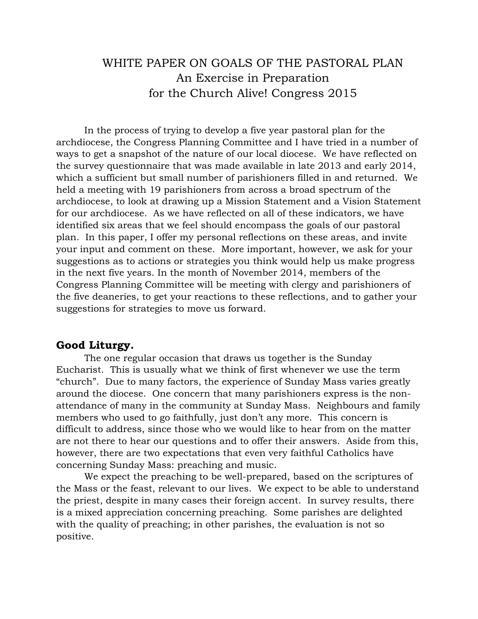# WHITE PAPER ON GOALS OF THE PASTORAL PLAN An Exercise in Preparation for the Church Alive! Congress 2015

In the process of trying to develop a five year pastoral plan for the archdiocese, the Congress Planning Committee and I have tried in a number of ways to get a snapshot of the nature of our local diocese. We have reflected on the survey questionnaire that was made available in late 2013 and early 2014, which a sufficient but small number of parishioners filled in and returned. We held a meeting with 19 parishioners from across a broad spectrum of the archdiocese, to look at drawing up a Mission Statement and a Vision Statement for our archdiocese. As we have reflected on all of these indicators, we have identified six areas that we feel should encompass the goals of our pastoral plan. In this paper, I offer my personal reflections on these areas, and invite your input and comment on these. More important, however, we ask for your suggestions as to actions or strategies you think would help us make progress in the next five years. In the month of November 2014, members of the Congress Planning Committee will be meeting with clergy and parishioners of the five deaneries, to get your reactions to these reflections, and to gather your suggestions for strategies to move us forward.

## **Good Liturgy.**

The one regular occasion that draws us together is the Sunday Eucharist. This is usually what we think of first whenever we use the term "church". Due to many factors, the experience of Sunday Mass varies greatly around the diocese. One concern that many parishioners express is the nonattendance of many in the community at Sunday Mass. Neighbours and family members who used to go faithfully, just don't any more. This concern is difficult to address, since those who we would like to hear from on the matter are not there to hear our questions and to offer their answers. Aside from this, however, there are two expectations that even very faithful Catholics have concerning Sunday Mass: preaching and music.

We expect the preaching to be well-prepared, based on the scriptures of the Mass or the feast, relevant to our lives. We expect to be able to understand the priest, despite in many cases their foreign accent. In survey results, there is a mixed appreciation concerning preaching. Some parishes are delighted with the quality of preaching; in other parishes, the evaluation is not so positive.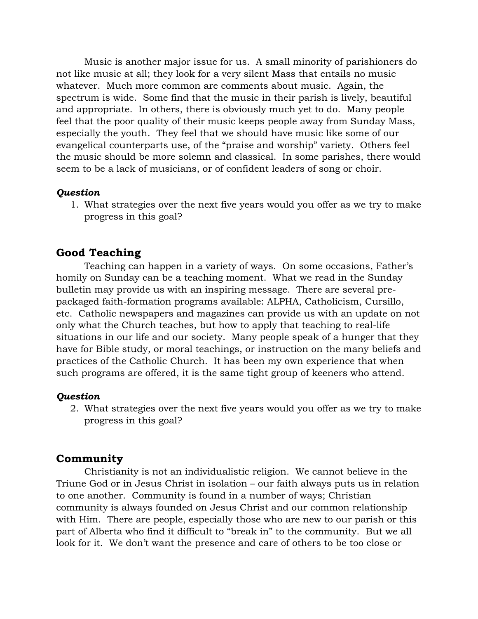Music is another major issue for us. A small minority of parishioners do not like music at all; they look for a very silent Mass that entails no music whatever. Much more common are comments about music. Again, the spectrum is wide. Some find that the music in their parish is lively, beautiful and appropriate. In others, there is obviously much yet to do. Many people feel that the poor quality of their music keeps people away from Sunday Mass, especially the youth. They feel that we should have music like some of our evangelical counterparts use, of the "praise and worship" variety. Others feel the music should be more solemn and classical. In some parishes, there would seem to be a lack of musicians, or of confident leaders of song or choir.

## *Question*

1. What strategies over the next five years would you offer as we try to make progress in this goal?

# **Good Teaching**

Teaching can happen in a variety of ways. On some occasions, Father's homily on Sunday can be a teaching moment. What we read in the Sunday bulletin may provide us with an inspiring message. There are several prepackaged faith-formation programs available: ALPHA, Catholicism, Cursillo, etc. Catholic newspapers and magazines can provide us with an update on not only what the Church teaches, but how to apply that teaching to real-life situations in our life and our society. Many people speak of a hunger that they have for Bible study, or moral teachings, or instruction on the many beliefs and practices of the Catholic Church. It has been my own experience that when such programs are offered, it is the same tight group of keeners who attend.

#### *Question*

2. What strategies over the next five years would you offer as we try to make progress in this goal?

# **Community**

Christianity is not an individualistic religion. We cannot believe in the Triune God or in Jesus Christ in isolation – our faith always puts us in relation to one another. Community is found in a number of ways; Christian community is always founded on Jesus Christ and our common relationship with Him. There are people, especially those who are new to our parish or this part of Alberta who find it difficult to "break in" to the community. But we all look for it. We don't want the presence and care of others to be too close or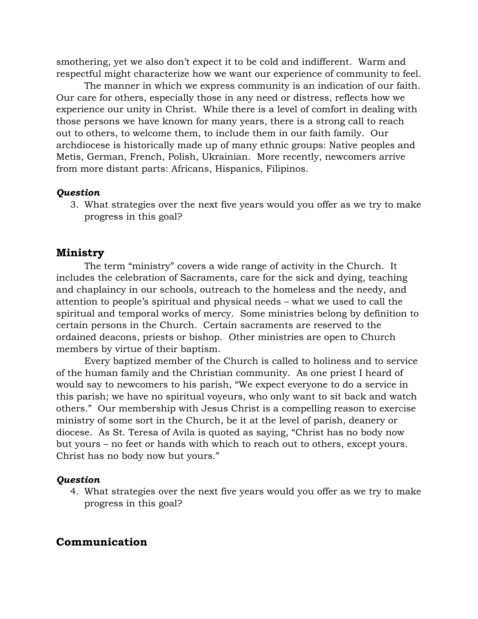smothering, yet we also don't expect it to be cold and indifferent. Warm and respectful might characterize how we want our experience of community to feel.

The manner in which we express community is an indication of our faith. Our care for others, especially those in any need or distress, reflects how we experience our unity in Christ. While there is a level of comfort in dealing with those persons we have known for many years, there is a strong call to reach out to others, to welcome them, to include them in our faith family. Our archdiocese is historically made up of many ethnic groups: Native peoples and Metis, German, French, Polish, Ukrainian. More recently, newcomers arrive from more distant parts: Africans, Hispanics, Filipinos.

## *Question*

3. What strategies over the next five years would you offer as we try to make progress in this goal?

## **Ministry**

The term "ministry" covers a wide range of activity in the Church. It includes the celebration of Sacraments, care for the sick and dying, teaching and chaplaincy in our schools, outreach to the homeless and the needy, and attention to people's spiritual and physical needs – what we used to call the spiritual and temporal works of mercy. Some ministries belong by definition to certain persons in the Church. Certain sacraments are reserved to the ordained deacons, priests or bishop. Other ministries are open to Church members by virtue of their baptism.

Every baptized member of the Church is called to holiness and to service of the human family and the Christian community. As one priest I heard of would say to newcomers to his parish, "We expect everyone to do a service in this parish; we have no spiritual voyeurs, who only want to sit back and watch others." Our membership with Jesus Christ is a compelling reason to exercise ministry of some sort in the Church, be it at the level of parish, deanery or diocese. As St. Teresa of Avila is quoted as saying, "Christ has no body now but yours – no feet or hands with which to reach out to others, except yours. Christ has no body now but yours."

#### *Question*

4. What strategies over the next five years would you offer as we try to make progress in this goal?

# **Communication**